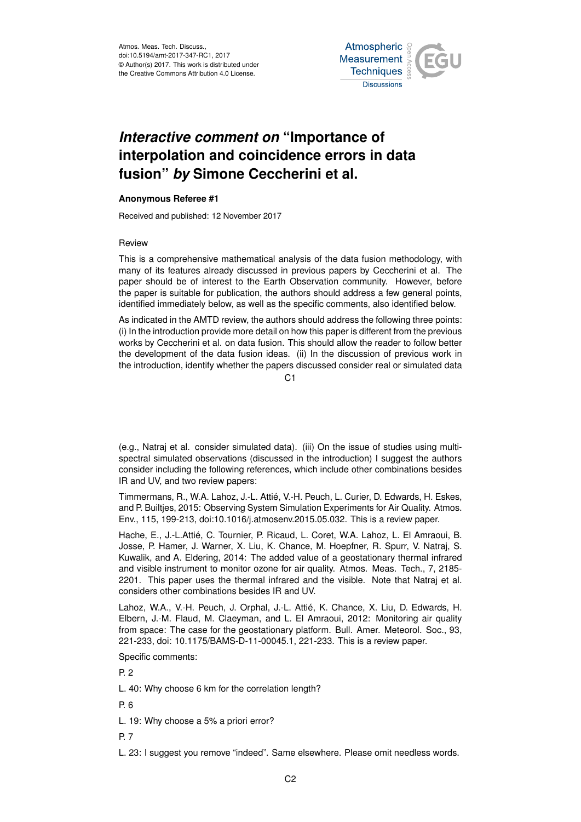Atmos. Meas. Tech. Discuss., doi:10.5194/amt-2017-347-RC1, 2017 © Author(s) 2017. This work is distributed under the Creative Commons Attribution 4.0 License.



## *Interactive comment on* **"Importance of interpolation and coincidence errors in data fusion"** *by* **Simone Ceccherini et al.**

## **Anonymous Referee #1**

Received and published: 12 November 2017

## Review

This is a comprehensive mathematical analysis of the data fusion methodology, with many of its features already discussed in previous papers by Ceccherini et al. The paper should be of interest to the Earth Observation community. However, before the paper is suitable for publication, the authors should address a few general points, identified immediately below, as well as the specific comments, also identified below.

As indicated in the AMTD review, the authors should address the following three points: (i) In the introduction provide more detail on how this paper is different from the previous works by Ceccherini et al. on data fusion. This should allow the reader to follow better the development of the data fusion ideas. (ii) In the discussion of previous work in the introduction, identify whether the papers discussed consider real or simulated data

 $C<sub>1</sub>$ 

(e.g., Natraj et al. consider simulated data). (iii) On the issue of studies using multispectral simulated observations (discussed in the introduction) I suggest the authors consider including the following references, which include other combinations besides IR and UV, and two review papers:

Timmermans, R., W.A. Lahoz, J.-L. Attié, V.-H. Peuch, L. Curier, D. Edwards, H. Eskes, and P. Builtjes, 2015: Observing System Simulation Experiments for Air Quality. Atmos. Env., 115, 199-213, doi:10.1016/j.atmosenv.2015.05.032. This is a review paper.

Hache, E., J.-L.Attié, C. Tournier, P. Ricaud, L. Coret, W.A. Lahoz, L. El Amraoui, B. Josse, P. Hamer, J. Warner, X. Liu, K. Chance, M. Hoepfner, R. Spurr, V. Natraj, S. Kuwalik, and A. Eldering, 2014: The added value of a geostationary thermal infrared and visible instrument to monitor ozone for air quality. Atmos. Meas. Tech., 7, 2185- 2201. This paper uses the thermal infrared and the visible. Note that Natraj et al. considers other combinations besides IR and UV.

Lahoz, W.A., V.-H. Peuch, J. Orphal, J.-L. Attié, K. Chance, X. Liu, D. Edwards, H. Elbern, J.-M. Flaud, M. Claeyman, and L. El Amraoui, 2012: Monitoring air quality from space: The case for the geostationary platform. Bull. Amer. Meteorol. Soc., 93, 221-233, doi: 10.1175/BAMS-D-11-00045.1, 221-233. This is a review paper.

Specific comments:

P. 2

L. 40: Why choose 6 km for the correlation length?

P. 6

L. 19: Why choose a 5% a priori error?

P. 7

L. 23: I suggest you remove "indeed". Same elsewhere. Please omit needless words.